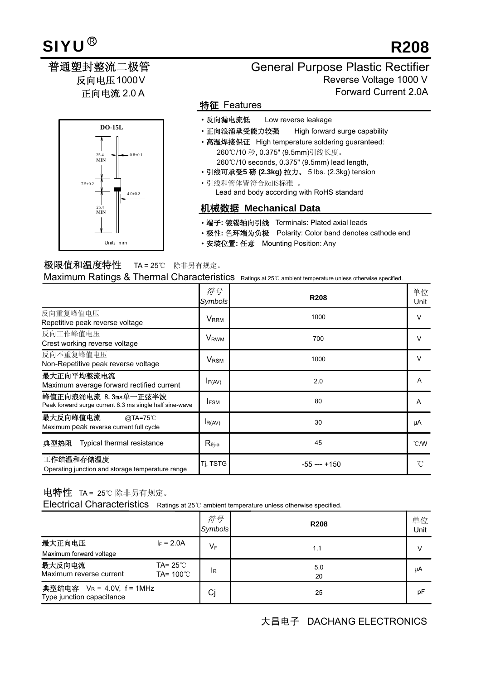# **R208**

# 反向电压1000V 正向电流 2.0 A

# **DO-15L**  Unit:mm 25.4 MIN 25.4 MIN 7.5±0.2  $4.0+0.2$  $0.8 \pm 0.1$

### 普通塑封整流二极管 General Purpose Plastic Rectifier Reverse Voltage 1000 V Forward Current 2.0A

#### 特征 Features

- ·反向漏电流低 Low reverse leakage
- ·正向浪涌承受能力较强 High forward surge capability
- 高温焊接保证 High temperature soldering guaranteed: 260℃/10 秒, 0.375" (9.5mm)引线长度。 260℃/10 seconds, 0.375" (9.5mm) lead length,
- ·引线可承受**5** 磅 **(2.3kg)** 拉力。 5 lbs. (2.3kg) tension ·引线和管体皆符合RoHS标准 。 Lead and body according with RoHS standard

#### 机械数据 **Mechanical Data**

- ·端子**:** 镀锡轴向引线 Terminals: Plated axial leads
- ·极性**:** 色环端为负极 Polarity: Color band denotes cathode end
- ·安装位置**:** 任意 Mounting Position: Any

### 极限值和温度特性 TA = 25℃ 除非另有规定。

Maximum Ratings & Thermal Characteristics Ratings at 25℃ ambient temperature unless otherwise specified.

|                                                                                 | 符号<br>Symbols           | <b>R208</b>      | 单位<br>Unit     |
|---------------------------------------------------------------------------------|-------------------------|------------------|----------------|
| 反向重复峰值电压<br>Repetitive peak reverse voltage                                     | <b>V</b> <sub>RRM</sub> | 1000             | $\vee$         |
| 反向工作峰值电压<br>Crest working reverse voltage                                       | <b>V</b> <sub>RWM</sub> | 700              | v              |
| 反向不重复峰值电压<br>Non-Repetitive peak reverse voltage                                | <b>V</b> <sub>RSM</sub> | 1000             | $\vee$         |
| 最大正向平均整流电流<br>Maximum average forward rectified current                         | $I_{F(AV)}$             | 2.0              | A              |
| 峰值正向浪涌电流 8.3ms单一正弦半波<br>Peak forward surge current 8.3 ms single half sine-wave | <b>IFSM</b>             | 80               | A              |
| 最大反向峰值电流<br>@TA=75°C<br>Maximum peak reverse current full cycle                 | $I_{R(AV)}$             | 30               | μA             |
| 典型热阻<br>Typical thermal resistance                                              | $R_{\theta i-a}$        | 45               | $^{\circ}$ C/W |
| 工作结温和存储温度<br>Operating junction and storage temperature range                   | Tj, TSTG                | $-55$ --- $+150$ |                |

### 电特性 TA = 25℃ 除非另有规定。

Electrical Characteristics Ratings at 25℃ ambient temperature unless otherwise specified.

|                                                        |                                           | 符号<br>Symbols  | <b>R208</b> | 单位<br>Unit |
|--------------------------------------------------------|-------------------------------------------|----------------|-------------|------------|
| 最大正向电压                                                 | $I_F = 2.0A$                              | $V_F$          | 1.1         |            |
| Maximum forward voltage                                |                                           |                |             |            |
| 最大反向电流<br>Maximum reverse current                      | TA= $25^{\circ}$ C<br>TA= $100^{\circ}$ C | <sup>I</sup> R | 5.0<br>20   | μA         |
| 典型结电容 VR = 4.0V, f = 1MHz<br>Type junction capacitance |                                           | Cj             | 25          | рF         |

## 大昌电子 DACHANG ELECTRONICS